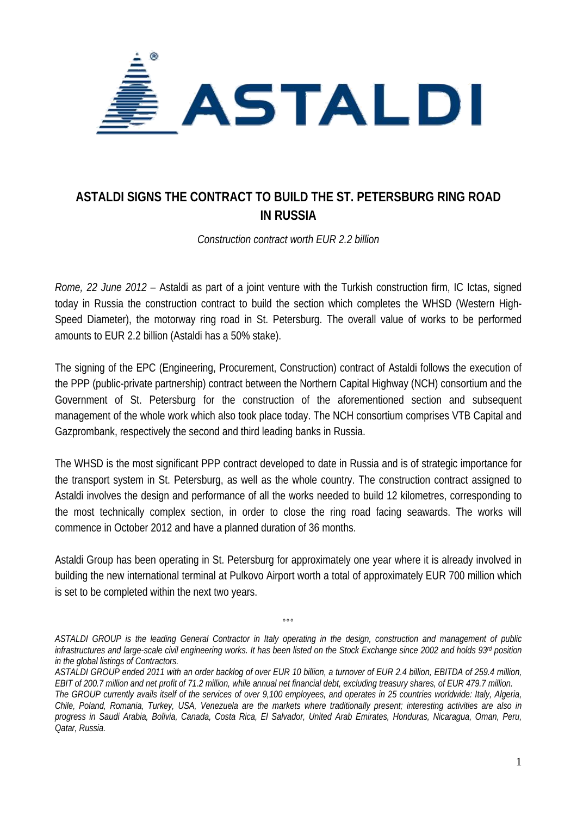

## **ASTALDI SIGNS THE CONTRACT TO BUILD THE ST. PETERSBURG RING ROAD IN RUSSIA**

*Construction contract worth EUR 2.2 billion* 

*Rome, 22 June 2012* – Astaldi as part of a joint venture with the Turkish construction firm, IC Ictas, signed today in Russia the construction contract to build the section which completes the WHSD (Western High-Speed Diameter), the motorway ring road in St. Petersburg. The overall value of works to be performed amounts to EUR 2.2 billion (Astaldi has a 50% stake).

The signing of the EPC (Engineering, Procurement, Construction) contract of Astaldi follows the execution of the PPP (public-private partnership) contract between the Northern Capital Highway (NCH) consortium and the Government of St. Petersburg for the construction of the aforementioned section and subsequent management of the whole work which also took place today. The NCH consortium comprises VTB Capital and Gazprombank, respectively the second and third leading banks in Russia.

The WHSD is the most significant PPP contract developed to date in Russia and is of strategic importance for the transport system in St. Petersburg, as well as the whole country. The construction contract assigned to Astaldi involves the design and performance of all the works needed to build 12 kilometres, corresponding to the most technically complex section, in order to close the ring road facing seawards. The works will commence in October 2012 and have a planned duration of 36 months.

Astaldi Group has been operating in St. Petersburg for approximately one year where it is already involved in building the new international terminal at Pulkovo Airport worth a total of approximately EUR 700 million which is set to be completed within the next two years.

°°°

*ASTALDI GROUP is the leading General Contractor in Italy operating in the design, construction and management of public*  infrastructures and large-scale civil engineering works. It has been listed on the Stock Exchange since 2002 and holds 93<sup>rd</sup> position *in the global listings of Contractors.* 

*ASTALDI GROUP ended 2011 with an order backlog of over EUR 10 billion, a turnover of EUR 2.4 billion, EBITDA of 259.4 million, EBIT of 200.7 million and net profit of 71.2 million, while annual net financial debt, excluding treasury shares, of EUR 479.7 million. The GROUP currently avails itself of the services of over 9,100 employees, and operates in 25 countries worldwide: Italy, Algeria,* 

*Chile, Poland, Romania, Turkey, USA, Venezuela are the markets where traditionally present; interesting activities are also in progress in Saudi Arabia, Bolivia, Canada, Costa Rica, El Salvador, United Arab Emirates, Honduras, Nicaragua, Oman, Peru, Qatar, Russia.*